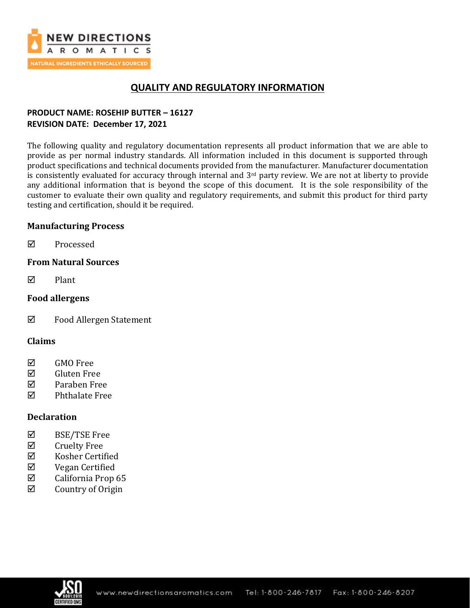

# **QUALITY AND REGULATORY INFORMATION**

## **PRODUCT NAME: ROSEHIP BUTTER – 16127 REVISION DATE: December 17, 2021**

The following quality and regulatory documentation represents all product information that we are able to provide as per normal industry standards. All information included in this document is supported through product specifications and technical documents provided from the manufacturer. Manufacturer documentation is consistently evaluated for accuracy through internal and 3<sup>rd</sup> party review. We are not at liberty to provide any additional information that is beyond the scope of this document. It is the sole responsibility of the customer to evaluate their own quality and regulatory requirements, and submit this product for third party testing and certification, should it be required.

## **Manufacturing Process**

**☑** Processed

## **From Natural Sources**

 $\nabla$  Plant

## **Food allergens**

Food Allergen Statement

## **Claims**

- **☑** GMO Free
- Gluten Free
- Paraben Free
- $\nabla$  Phthalate Free

## **Declaration**

- BSE/TSE Free
- $\boxtimes$  Cruelty Free
- $\boxtimes$  Kosher Certified
- Vegan Certified
- $\boxtimes$  California Prop 65
- $\boxtimes$  Country of Origin

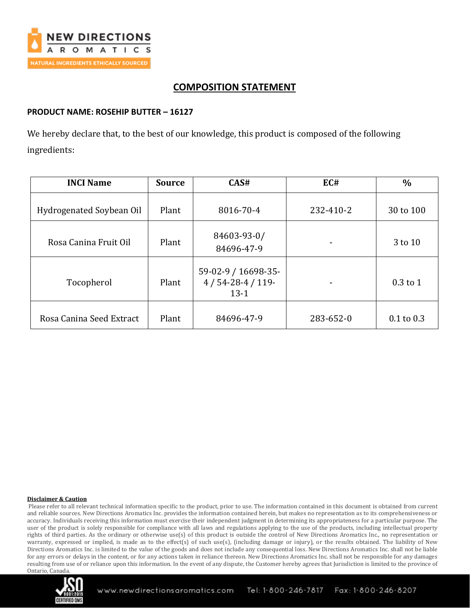

# **COMPOSITION STATEMENT**

## **PRODUCT NAME: ROSEHIP BUTTER – 16127**

We hereby declare that, to the best of our knowledge, this product is composed of the following ingredients:

| <b>INCI Name</b>         | <b>Source</b> | CAS#                                             | EC#       | $\frac{0}{0}$  |
|--------------------------|---------------|--------------------------------------------------|-----------|----------------|
| Hydrogenated Soybean Oil | Plant         | 8016-70-4                                        | 232-410-2 | 30 to 100      |
| Rosa Canina Fruit Oil    | Plant         | 84603-93-0/<br>84696-47-9                        |           | 3 to 10        |
| Tocopherol               | Plant         | 59-02-9 / 16698-35-<br>$4/54-28-4/119$<br>$13-1$ |           | $0.3$ to 1     |
| Rosa Canina Seed Extract | Plant         | 84696-47-9                                       | 283-652-0 | $0.1$ to $0.3$ |

#### **Disclaimer & Caution**

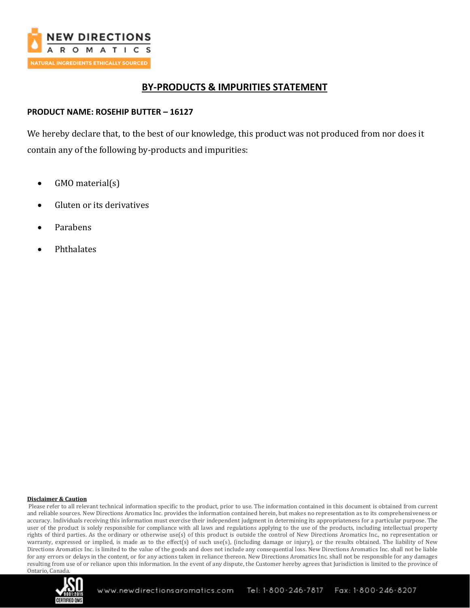

## **BY-PRODUCTS & IMPURITIES STATEMENT**

## **PRODUCT NAME: ROSEHIP BUTTER – 16127**

We hereby declare that, to the best of our knowledge, this product was not produced from nor does it contain any of the following by-products and impurities:

- GMO material(s)
- Gluten or its derivatives
- Parabens
- Phthalates

#### **Disclaimer & Caution**

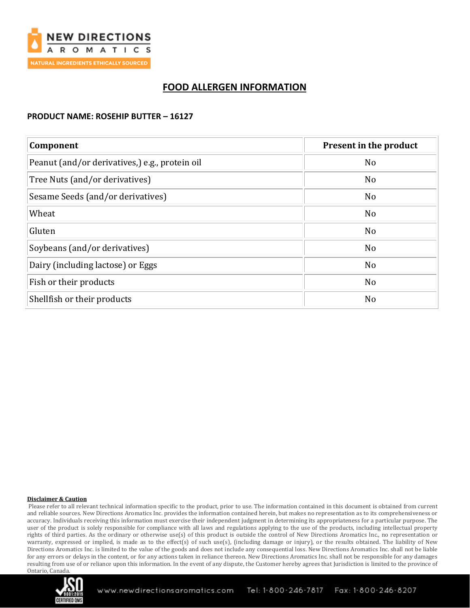

# **FOOD ALLERGEN INFORMATION**

### **PRODUCT NAME: ROSEHIP BUTTER – 16127**

| Component                                      | Present in the product |  |
|------------------------------------------------|------------------------|--|
| Peanut (and/or derivatives,) e.g., protein oil | N <sub>o</sub>         |  |
| Tree Nuts (and/or derivatives)                 | N <sub>o</sub>         |  |
| Sesame Seeds (and/or derivatives)              | N <sub>o</sub>         |  |
| Wheat                                          | N <sub>o</sub>         |  |
| Gluten                                         | No                     |  |
| Soybeans (and/or derivatives)                  | N <sub>o</sub>         |  |
| Dairy (including lactose) or Eggs              | N <sub>o</sub>         |  |
| Fish or their products                         | N <sub>o</sub>         |  |
| Shellfish or their products                    | N <sub>o</sub>         |  |

#### **Disclaimer & Caution**

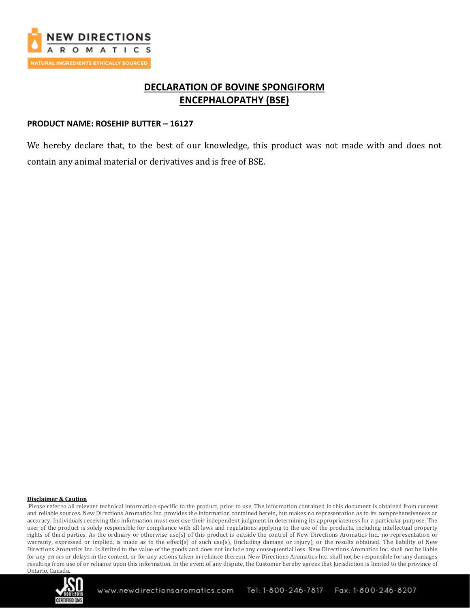

# **DECLARATION OF BOVINE SPONGIFORM ENCEPHALOPATHY (BSE)**

### **PRODUCT NAME: ROSEHIP BUTTER – 16127**

We hereby declare that, to the best of our knowledge, this product was not made with and does not contain any animal material or derivatives and is free of BSE.

#### **Disclaimer & Caution**

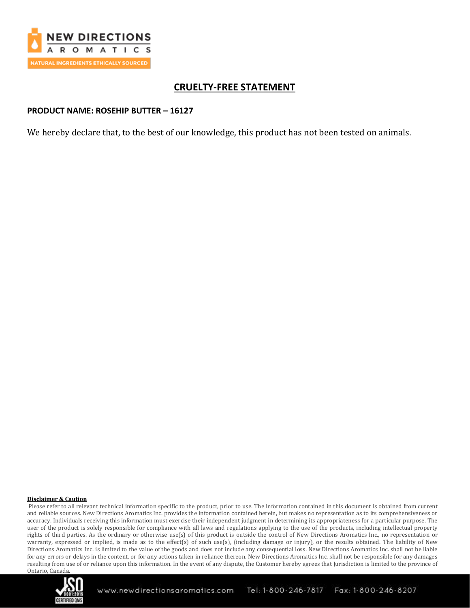

# **CRUELTY-FREE STATEMENT**

### **PRODUCT NAME: ROSEHIP BUTTER – 16127**

We hereby declare that, to the best of our knowledge, this product has not been tested on animals.

#### **Disclaimer & Caution**

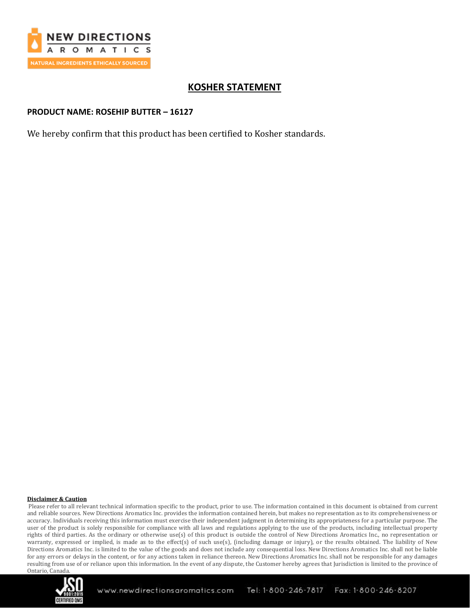

# **KOSHER STATEMENT**

## **PRODUCT NAME: ROSEHIP BUTTER – 16127**

We hereby confirm that this product has been certified to Kosher standards.

#### **Disclaimer & Caution**

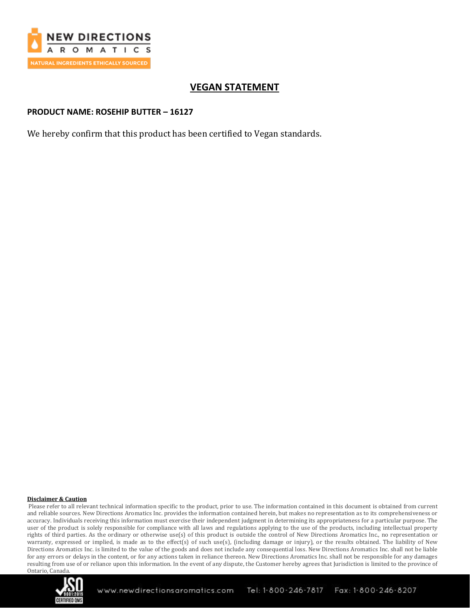

# **VEGAN STATEMENT**

## **PRODUCT NAME: ROSEHIP BUTTER – 16127**

We hereby confirm that this product has been certified to Vegan standards.

#### **Disclaimer & Caution**

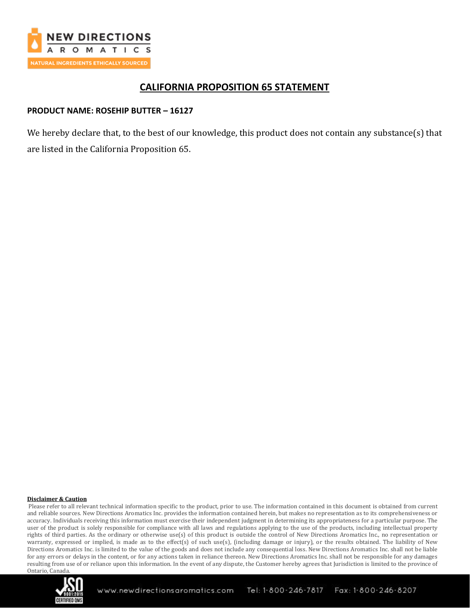

## **CALIFORNIA PROPOSITION 65 STATEMENT**

## **PRODUCT NAME: ROSEHIP BUTTER – 16127**

We hereby declare that, to the best of our knowledge, this product does not contain any substance(s) that are listed in the California Proposition 65.

#### **Disclaimer & Caution**